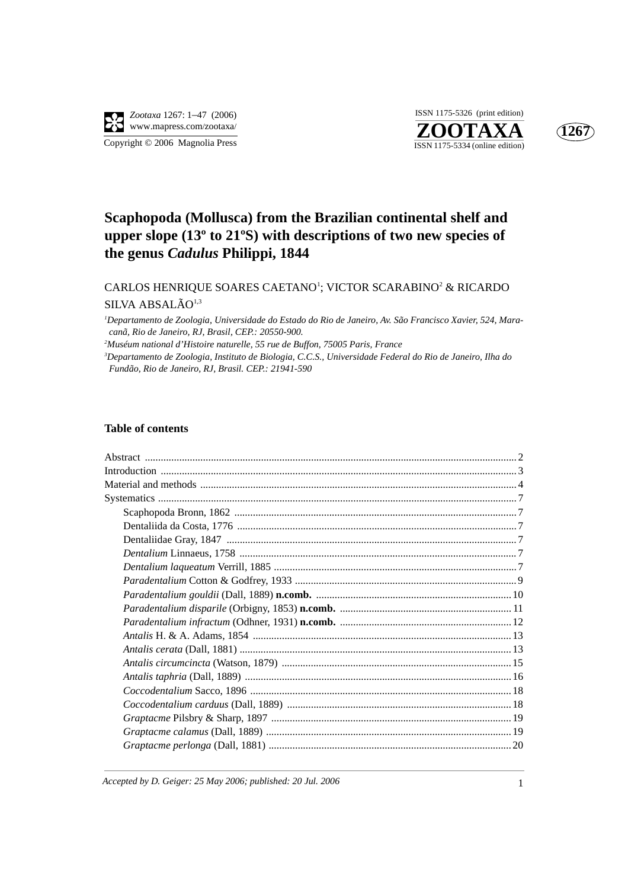

**ZOOTAXA**<br>ISSN 1175-5334 (online edition) ISSN 1175-5326 (print edition)



# **Scaphopoda (Mollusca) from the Brazilian continental shelf and upper slope (13º to 21ºS) with descriptions of two new species of the genus** *Cadulus* **Philippi, 1844**

## CARLOS HENRIQUE SOARES CAETANO<sup>1</sup>; VICTOR SCARABINO<sup>2</sup> & RICARDO SILVA ABSALÃO<sup>1,3</sup>

*1 Departamento de Zoologia, Universidade do Estado do Rio de Janeiro, Av. São Francisco Xavier, 524, Maracanã, Rio de Janeiro, RJ, Brasil, CEP.: 20550-900. 2*

*Muséum national d'Histoire naturelle, 55 rue de Buffon, 75005 Paris, France*

*3 Departamento de Zoologia, Instituto de Biologia, C.C.S., Universidade Federal do Rio de Janeiro, Ilha do Fundão, Rio de Janeiro, RJ, Brasil. CEP.: 21941-590*

### **Table of contents**

*Accepted by D. Geiger: 25 May 2006; published: 20 Jul. 2006* 1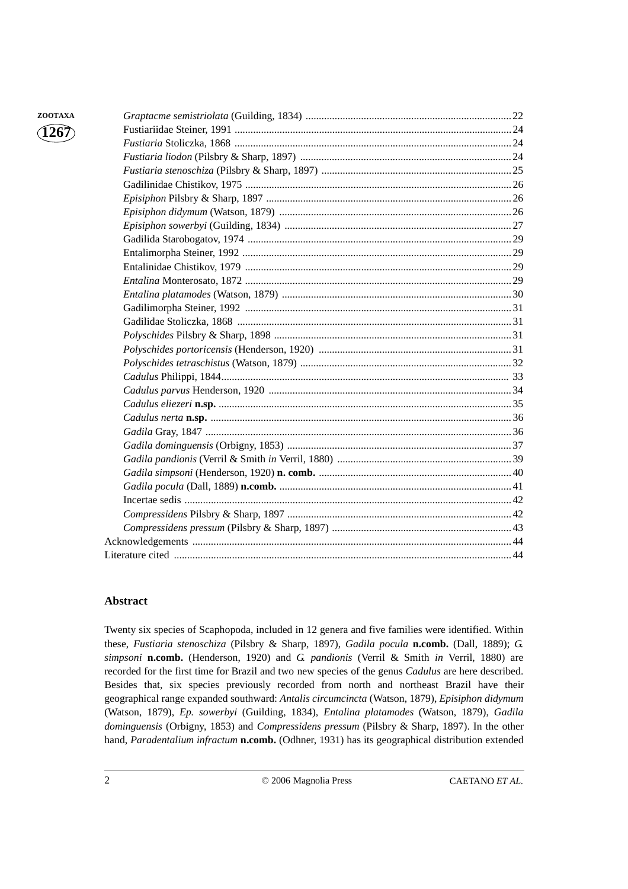| ZOOTAXA                |  |
|------------------------|--|
| $\langle 1267 \rangle$ |  |
|                        |  |
|                        |  |
|                        |  |
|                        |  |
|                        |  |
|                        |  |
|                        |  |
|                        |  |
|                        |  |
|                        |  |
|                        |  |
|                        |  |
|                        |  |
|                        |  |
|                        |  |
|                        |  |
|                        |  |
|                        |  |
|                        |  |
|                        |  |
|                        |  |
|                        |  |
|                        |  |
|                        |  |
|                        |  |
|                        |  |
|                        |  |
|                        |  |
|                        |  |
|                        |  |
|                        |  |

## **Abstract**

Twenty six species of Scaphopoda, included in 12 genera and five families were identified. Within these, *Fustiaria stenoschiza* (Pilsbry & Sharp, 1897), *Gadila pocula* **n.comb.** (Dall, 1889); *G. simpsoni* **n.comb.** (Henderson, 1920) and *G. pandionis* (Verril & Smith *in* Verril, 1880) are recorded for the first time for Brazil and two new species of the genus *Cadulus* are here described. Besides that, six species previously recorded from north and northeast Brazil have their geographical range expanded southward: *Antalis circumcincta* (Watson, 1879), *Episiphon didymum* (Watson, 1879), *Ep. sowerbyi* (Guilding, 1834), *Entalina platamodes* (Watson, 1879), *Gadila dominguensis* (Orbigny, 1853) and *Compressidens pressum* (Pilsbry & Sharp, 1897). In the other hand, *Paradentalium infractum* **n.comb.** (Odhner, 1931) has its geographical distribution extended